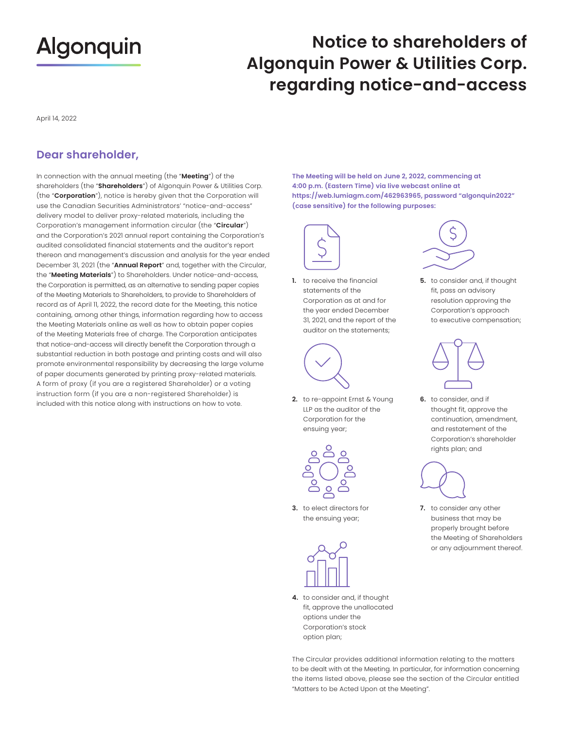# **Algonquin**

### **Notice to shareholders of Algonquin Power & Utilities Corp. regarding notice-and-access**

April 14, 2022

### **Dear shareholder,**

(the "Corporation"), notice is hereby given that the Corporation will Corporation's management information circular (the "Circular") the "Meeting Materials") to Shareholders. Under notice-and-access, instruction form (if you are a non-registered Shareholder) is In connection with the annual meeting (the "**Meeting**") of the shareholders (the "**Shareholders**") of Algonquin Power & Utilities Corp. use the Canadian Securities Administrators' "notice-and-access" delivery model to deliver proxy-related materials, including the and the Corporation's 2021 annual report containing the Corporation's audited consolidated financial statements and the auditor's report thereon and management's discussion and analysis for the year ended December 31, 2021 (the "**Annual Report**" and, together with the Circular, the Corporation is permitted, as an alternative to sending paper copies of the Meeting Materials to Shareholders, to provide to Shareholders of record as of April 11, 2022, the record date for the Meeting, this notice containing, among other things, information regarding how to access the Meeting Materials online as well as how to obtain paper copies of the Meeting Materials free of charge. The Corporation anticipates that notice-and-access will directly benefit the Corporation through a substantial reduction in both postage and printing costs and will also promote environmental responsibility by decreasing the large volume of paper documents generated by printing proxy-related materials. A form of proxy (if you are a registered Shareholder) or a voting included with this notice along with instructions on how to vote.

4:00 p.m. (Eastern Time) via live webcast online at **The Meeting will be held on June 2, 2022, commencing at 4:00 p.m. (Eastern Time) via live webcast online at [https://web.lumiagm.com/462963965,](https://web.lumiagm.com/462963965) password "algonquin2022" (case sensitive) for the following purposes:** 



**1.** to receive the financial **5.** to consider and, if thought statements of the fit, pass an advisory Corporation as at and for resolution approving the auditor on the statements;



Corporation for the<br>ensuing year; **2.** to re-appoint Ernst & Young **6.** to consider, and if LLP as the auditor of the



**3.** to elect directors for the ensuing year;



**4.** to consider and, if thought fit, approve the unallocated options under the Corporation's stock option plan;

The Circular provides additional information relating to the matters to be dealt with at the Meeting. In particular, for information concerning the items listed above, please see the section of the Circular entitled "Matters to be Acted Upon at the Meeting".

Corporation's approach the year ended December Corporation's approach<br>31, 2021, and the report of the to executive compensation;



thought fit, approve the continuation, amendment, and restatement of the Corporation's shareholder rights plan; and



properly brought before **3. 7.** to consider any other business that may be the Meeting of Shareholders or any adjournment thereof.